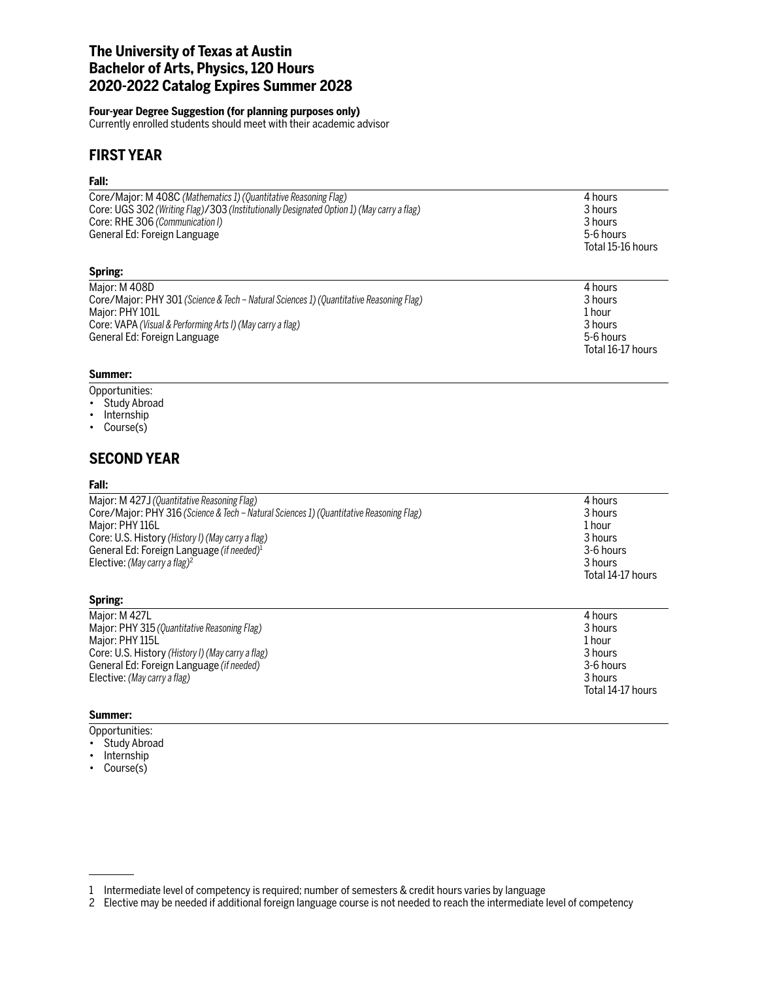# **The University of Texas at Austin Bachelor of Arts, Physics, 120 Hours 2020-2022 Catalog Expires Summer 2028**

## **Four-year Degree Suggestion (for planning purposes only)**

Currently enrolled students should meet with their academic advisor

# **FIRST YEAR**

## **Fall:**

| Core/Major: M 408C (Mathematics 1) (Quantitative Reasoning Flag)<br>Core: UGS 302 (Writing Flag)/303 (Institutionally Designated Option 1) (May carry a flag)<br>Core: RHE 306 (Communication I)<br>General Ed: Foreign Language | 4 hours<br>3 hours<br>3 hours<br>5-6 hours<br>Total 15-16 hours |
|----------------------------------------------------------------------------------------------------------------------------------------------------------------------------------------------------------------------------------|-----------------------------------------------------------------|
| Spring:                                                                                                                                                                                                                          |                                                                 |

| Maior: M 408D                                                                           | 4 hours           |
|-----------------------------------------------------------------------------------------|-------------------|
| Core/Major: PHY 301 (Science & Tech – Natural Sciences 1) (Quantitative Reasoning Flag) | 3 hours           |
| Major: PHY 101L                                                                         | 1 hour            |
| Core: VAPA (Visual & Performing Arts I) (May carry a flag)                              | 3 hours           |
| General Ed: Foreign Language                                                            | 5-6 hours         |
|                                                                                         | Total 16-17 hours |

## **Summer:**

## Opportunities:

- Study Abroad
- Internship
- Course(s)

# **SECOND YEAR**

### **Fall:**

| Major: M 427J (Quantitative Reasoning Flag)                                             | 4 hours           |
|-----------------------------------------------------------------------------------------|-------------------|
| Core/Major: PHY 316 (Science & Tech – Natural Sciences 1) (Quantitative Reasoning Flag) | 3 hours           |
| Major: PHY 116L                                                                         | 1 hour            |
| Core: U.S. History (History I) (May carry a flag)                                       | 3 hours           |
| General Ed: Foreign Language (if needed) <sup>1</sup>                                   | 3-6 hours         |
| Elective: (May carry a flag) <sup>2</sup>                                               | 3 hours           |
|                                                                                         | Total 14-17 hours |

## **Spring:**

| Maior: M 427L                                     | 4 hours           |
|---------------------------------------------------|-------------------|
| Major: PHY 315 (Quantitative Reasoning Flag)      | 3 hours           |
| Major: PHY 115L                                   | 1 hour            |
| Core: U.S. History (History I) (May carry a flag) | 3 hours           |
| General Ed: Foreign Language ( <i>if needed</i> ) | 3-6 hours         |
| Elective: (May carry a flag)                      | 3 hours           |
|                                                   | Total 14-17 hours |

## **Summer:**

- Opportunities:
- Study Abroad
- Internship
- Course(s)

<sup>1</sup> Intermediate level of competency is required; number of semesters & credit hours varies by language

<sup>2</sup> Elective may be needed if additional foreign language course is not needed to reach the intermediate level of competency